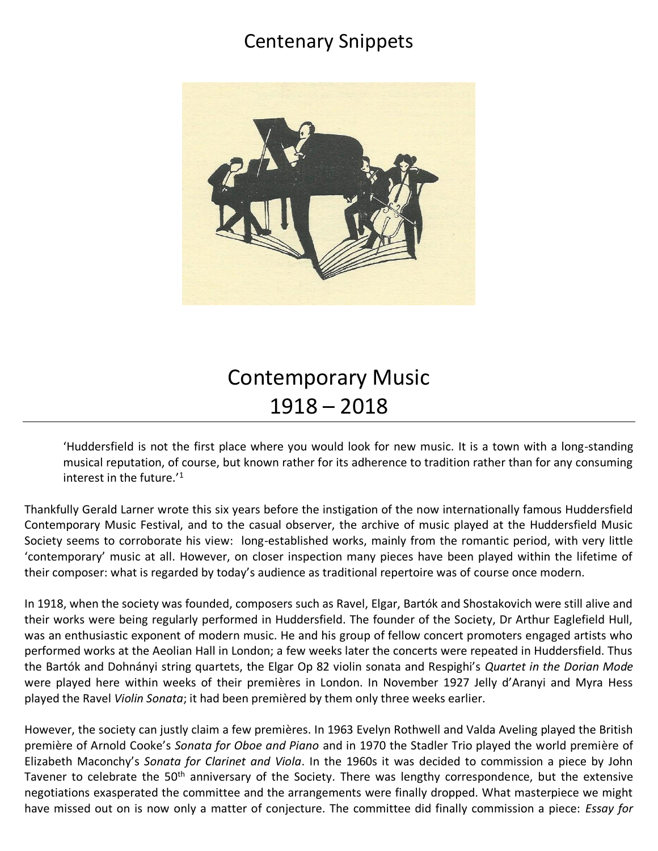## Centenary Snippets



## Contemporary Music 1918 – 2018

'Huddersfield is not the first place where you would look for new music. It is a town with a long-standing musical reputation, of course, but known rather for its adherence to tradition rather than for any consuming interest in the future.'<sup>1</sup>

Thankfully Gerald Larner wrote this six years before the instigation of the now internationally famous Huddersfield Contemporary Music Festival, and to the casual observer, the archive of music played at the Huddersfield Music Society seems to corroborate his view: long-established works, mainly from the romantic period, with very little 'contemporary' music at all. However, on closer inspection many pieces have been played within the lifetime of their composer: what is regarded by today's audience as traditional repertoire was of course once modern.

In 1918, when the society was founded, composers such as Ravel, Elgar, Bartók and Shostakovich were still alive and their works were being regularly performed in Huddersfield. The founder of the Society, Dr Arthur Eaglefield Hull, was an enthusiastic exponent of modern music. He and his group of fellow concert promoters engaged artists who performed works at the Aeolian Hall in London; a few weeks later the concerts were repeated in Huddersfield. Thus the Bartók and Dohnányi string quartets, the Elgar Op 82 violin sonata and Respighi's *Quartet in the Dorian Mode* were played here within weeks of their premières in London. In November 1927 Jelly d'Aranyi and Myra Hess played the Ravel *Violin Sonata*; it had been premièred by them only three weeks earlier.

However, the society can justly claim a few premières. In 1963 Evelyn Rothwell and Valda Aveling played the British première of Arnold Cooke's *Sonata for Oboe and Piano* and in 1970 the Stadler Trio played the world première of Elizabeth Maconchy's *Sonata for Clarinet and Viola*. In the 1960s it was decided to commission a piece by John Tavener to celebrate the 50<sup>th</sup> anniversary of the Society. There was lengthy correspondence, but the extensive negotiations exasperated the committee and the arrangements were finally dropped. What masterpiece we might have missed out on is now only a matter of conjecture. The committee did finally commission a piece: *Essay for*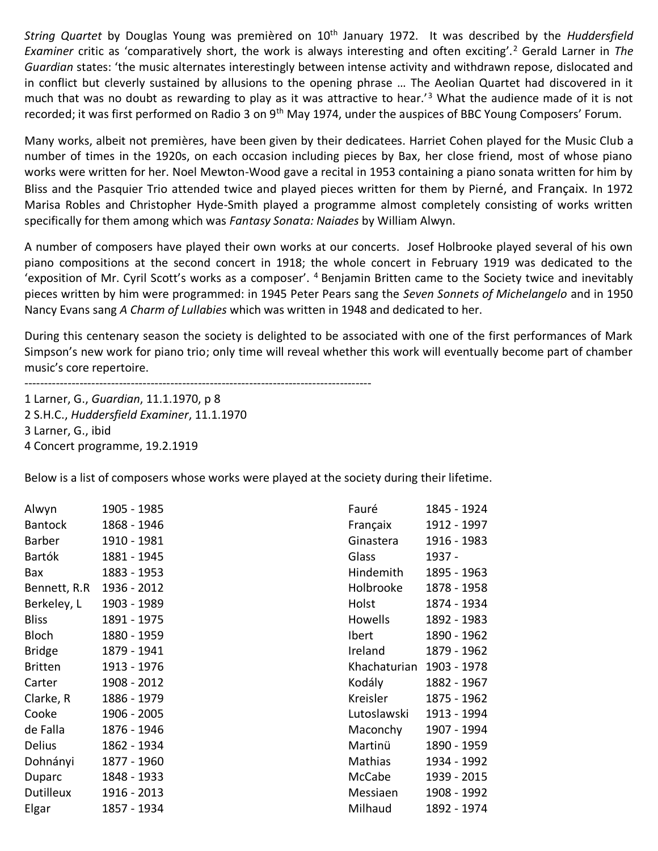*String Quartet* by Douglas Young was premièred on 10th January 1972. It was described by the *Huddersfield Examiner* critic as 'comparatively short, the work is always interesting and often exciting'.<sup>2</sup> Gerald Larner in *The Guardian* states: 'the music alternates interestingly between intense activity and withdrawn repose, dislocated and in conflict but cleverly sustained by allusions to the opening phrase … The Aeolian Quartet had discovered in it much that was no doubt as rewarding to play as it was attractive to hear.'<sup>3</sup> What the audience made of it is not recorded; it was first performed on Radio 3 on 9<sup>th</sup> May 1974, under the auspices of BBC Young Composers' Forum.

Many works, albeit not premières, have been given by their dedicatees. Harriet Cohen played for the Music Club a number of times in the 1920s, on each occasion including pieces by Bax, her close friend, most of whose piano works were written for her. Noel Mewton-Wood gave a recital in 1953 containing a piano sonata written for him by Bliss and the Pasquier Trio attended twice and played pieces written for them by Pierné, and Françaix. In 1972 Marisa Robles and Christopher Hyde-Smith played a programme almost completely consisting of works written specifically for them among which was *Fantasy Sonata: Naiades* by William Alwyn.

A number of composers have played their own works at our concerts. Josef Holbrooke played several of his own piano compositions at the second concert in 1918; the whole concert in February 1919 was dedicated to the 'exposition of Mr. Cyril Scott's works as a composer'. <sup>4</sup> Benjamin Britten came to the Society twice and inevitably pieces written by him were programmed: in 1945 Peter Pears sang the *Seven Sonnets of Michelangelo* and in 1950 Nancy Evans sang *A Charm of Lullabies* which was written in 1948 and dedicated to her.

During this centenary season the society is delighted to be associated with one of the first performances of Mark Simpson's new work for piano trio; only time will reveal whether this work will eventually become part of chamber music's core repertoire.

----------------------------------------------------------------------------------------

1 Larner, G., *Guardian*, 11.1.1970, p 8 2 S.H.C., *Huddersfield Examiner*, 11.1.1970 3 Larner, G., ibid 4 Concert programme, 19.2.1919

Below is a list of composers whose works were played at the society during their lifetime.

| Alwyn          | 1905 - 1985 |
|----------------|-------------|
| Bantock        | 1868 - 1946 |
| <b>Barber</b>  | 1910 - 1981 |
| Bartók         | 1881 - 1945 |
| Bax            | 1883 - 1953 |
| Bennett, R.R   | 1936 - 2012 |
| Berkeley, L    | 1903 - 1989 |
| Bliss          | 1891 - 1975 |
| Bloch          | 1880 - 1959 |
| <b>Bridge</b>  | 1879 - 1941 |
| <b>Britten</b> | 1913 - 1976 |
| Carter         | 1908 - 2012 |
| Clarke, R      | 1886 - 1979 |
| Cooke          | 1906 - 2005 |
| de Falla       | 1876 - 1946 |
| <b>Delius</b>  | 1862 - 1934 |
| Dohnányi       | 1877 - 1960 |
| Duparc         | 1848 - 1933 |
| Dutilleux      | 1916 - 2013 |
| Elgar          | 1857 - 1934 |

| Fauré        | 1845 - 1924 |
|--------------|-------------|
| Françaix     | 1912 - 1997 |
| Ginastera    | 1916 - 1983 |
| Glass        | 1937 -      |
| Hindemith    | 1895 - 1963 |
| Holbrooke    | 1878 - 1958 |
| Holst        | 1874 - 1934 |
| Howells      | 1892 - 1983 |
| Ibert        | 1890 - 1962 |
| Ireland      | 1879 - 1962 |
| Khachaturian | 1903 - 1978 |
| Kodály       | 1882 - 1967 |
| Kreisler     | 1875 - 1962 |
| Lutoslawski  | 1913 - 1994 |
| Maconchy     | 1907 - 1994 |
| Martinü      | 1890 - 1959 |
| Mathias      | 1934 - 1992 |
| McCabe       | 1939 - 2015 |
| Messiaen     | 1908 - 1992 |
| Milhaud      | 1892 - 1974 |